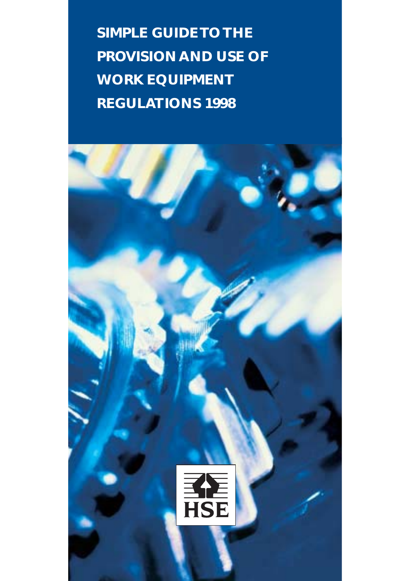**SIMPLE GUIDE TO THE PROVISION AND USE OF WORK EQUIPMENT REGULATIONS 1998**

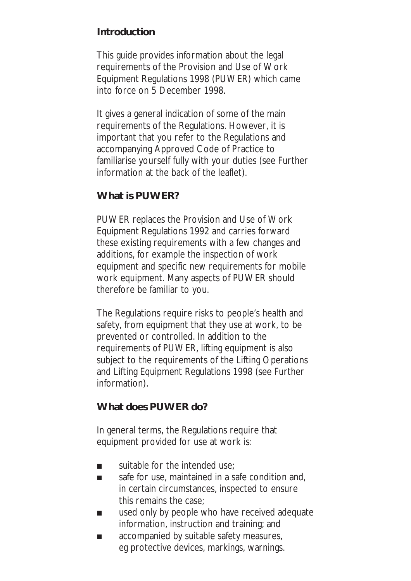## **Introduction**

This guide provides information about the legal requirements of the Provision and Use of Work Equipment Regulations 1998 (PUWER) which came into force on 5 December 1998.

It gives a general indication of some of the main requirements of the Regulations. However, it is important that you refer to the Regulations and accompanying Approved Code of Practice to familiarise yourself fully with your duties (see Further information at the back of the leaflet).

## **What is PUWER?**

PUWER replaces the Provision and Use of Work Equipment Regulations 1992 and carries forward these existing requirements with a few changes and additions, for example the inspection of work equipment and specific new requirements for mobile work equipment. Many aspects of PUWER should therefore be familiar to you.

The Regulations require risks to people's health and safety, from equipment that they use at work, to be prevented or controlled. In addition to the requirements of PUWER, lifting equipment is also subject to the requirements of the Lifting Operations and Lifting Equipment Regulations 1998 (see Further information).

#### **What does PUWER do?**

In general terms, the Regulations require that equipment provided for use at work is:

- suitable for the intended use:
- safe for use, maintained in a safe condition and, in certain circumstances, inspected to ensure this remains the case;
- used only by people who have received adequate information, instruction and training; and
- accompanied by suitable safety measures, eg protective devices, markings, warnings.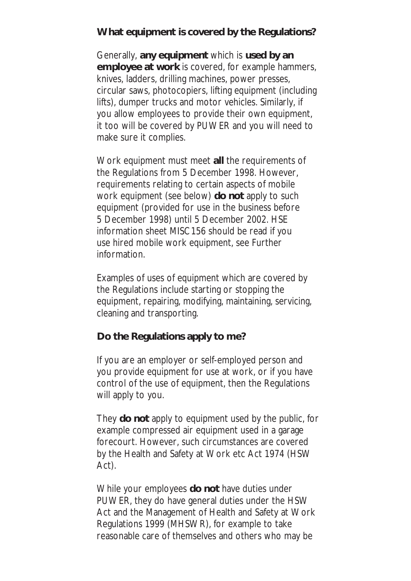# **What equipment is covered by the Regulations?**

Generally, **any equipment** which is **used by an employee at work** is covered, for example hammers, knives, ladders, drilling machines, power presses, circular saws, photocopiers, lifting equipment (including lifts), dumper trucks and motor vehicles. Similarly, if you allow employees to provide their own equipment, it too will be covered by PUWER and you will need to make sure it complies.

Work equipment must meet **all** the requirements of the Regulations from 5 December 1998. However, requirements relating to certain aspects of mobile work equipment (see below) **do not** apply to such equipment (provided for use in the business before 5 December 1998) until 5 December 2002. HSE information sheet MISC156 should be read if you use hired mobile work equipment, see Further information.

Examples of uses of equipment which are covered by the Regulations include starting or stopping the equipment, repairing, modifying, maintaining, servicing, cleaning and transporting.

#### **Do the Regulations apply to me?**

If you are an employer or self-employed person and you provide equipment for use at work, or if you have control of the use of equipment, then the Regulations will apply to you.

They **do not** apply to equipment used by the public, for example compressed air equipment used in a garage forecourt. However, such circumstances are covered by the Health and Safety at Work etc Act 1974 (HSW Act).

While your employees **do not** have duties under PUWER, they do have general duties under the HSW Act and the Management of Health and Safety at Work Regulations 1999 (MHSWR), for example to take reasonable care of themselves and others who may be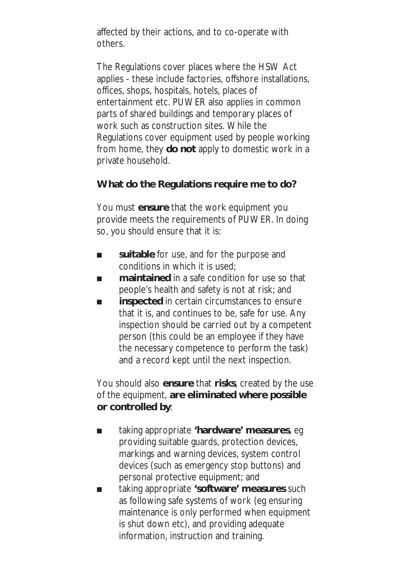affected by their actions, and to co-operate with others.

The Regulations cover places where the HSW Act applies - these include factories, offshore installations, offices, shops, hospitals, hotels, places of entertainment etc. PUWER also applies in common parts of shared buildings and temporary places of work such as construction sites. While the Regulations cover equipment used by people working from home, they **do not** apply to domestic work in a private household.

## **What do the Regulations require me to do?**

You must **ensure** that the work equipment you provide meets the requirements of PUWER. In doing so, you should ensure that it is:

- **suitable** for use, and for the purpose and conditions in which it is used;
- **maintained** in a safe condition for use so that people's health and safety is not at risk; and
- **inspected** in certain circumstances to ensure that it is, and continues to be, safe for use. Any inspection should be carried out by a competent person (this could be an employee if they have the necessary competence to perform the task) and a record kept until the next inspection.

You should also **ensure** that **risks**, created by the use of the equipment, **are eliminated where possible or controlled by**:

- taking appropriate 'hardware' measures, eg providing suitable guards, protection devices, markings and warning devices, system control devices (such as emergency stop buttons) and personal protective equipment; and
- taking appropriate 'software' measures such as following safe systems of work (eg ensuring maintenance is only performed when equipment is shut down etc), and providing adequate information, instruction and training.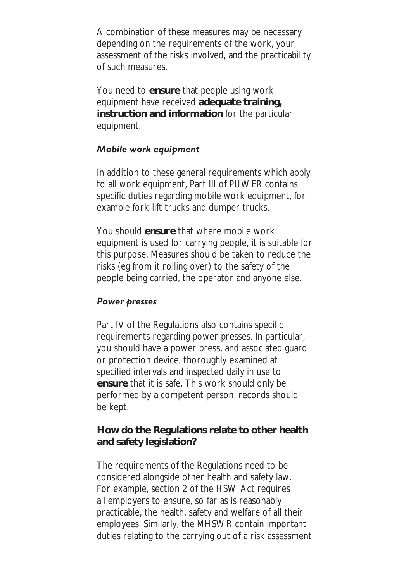A combination of these measures may be necessary depending on the requirements of the work, your assessment of the risks involved, and the practicability of such measures.

You need to **ensure** that people using work equipment have received **adequate training, instruction and information** for the particular equipment.

## *Mobile work equipment*

In addition to these general requirements which apply to all work equipment, Part III of PUWER contains specific duties regarding mobile work equipment, for example fork-lift trucks and dumper trucks.

You should **ensure** that where mobile work equipment is used for carrying people, it is suitable for this purpose. Measures should be taken to reduce the risks (eg from it rolling over) to the safety of the people being carried, the operator and anyone else.

#### *Power presses*

Part IV of the Regulations also contains specific requirements regarding power presses. In particular, you should have a power press, and associated guard or protection device, thoroughly examined at specified intervals and inspected daily in use to **ensure** that it is safe. This work should only be performed by a competent person; records should be kept.

#### **How do the Regulations relate to other health and safety legislation?**

The requirements of the Regulations need to be considered alongside other health and safety law. For example, section 2 of the HSW Act requires all employers to ensure, so far as is reasonably practicable, the health, safety and welfare of all their employees. Similarly, the MHSWR contain important duties relating to the carrying out of a risk assessment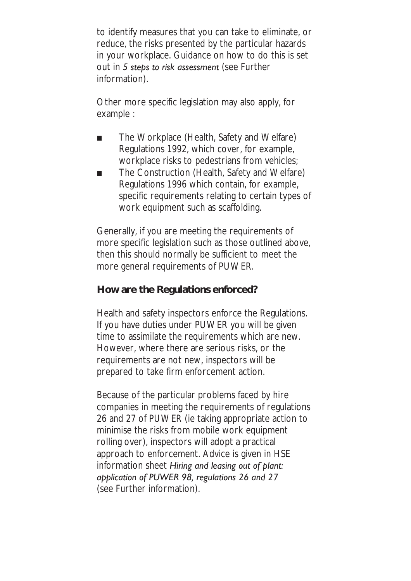to identify measures that you can take to eliminate, or reduce, the risks presented by the particular hazards in your workplace. Guidance on how to do this is set out in *5 steps to risk assessment* (see Further information).

Other more specific legislation may also apply, for example :

- The Workplace (Health, Safety and Welfare) Regulations 1992, which cover, for example, workplace risks to pedestrians from vehicles;
- The Construction (Health, Safety and Welfare) Regulations 1996 which contain, for example, specific requirements relating to certain types of work equipment such as scaffolding.

Generally, if you are meeting the requirements of more specific legislation such as those outlined above, then this should normally be sufficient to meet the more general requirements of PUWER.

## **How are the Regulations enforced?**

Health and safety inspectors enforce the Regulations. If you have duties under PUWER you will be given time to assimilate the requirements which are new. However, where there are serious risks, or the requirements are not new, inspectors will be prepared to take firm enforcement action.

Because of the particular problems faced by hire companies in meeting the requirements of regulations 26 and 27 of PUWER (ie taking appropriate action to minimise the risks from mobile work equipment rolling over), inspectors will adopt a practical approach to enforcement. Advice is given in HSE information sheet *Hiring and leasing out of plant: application of PUWER 98, regulations 26 and 27* (see Further information).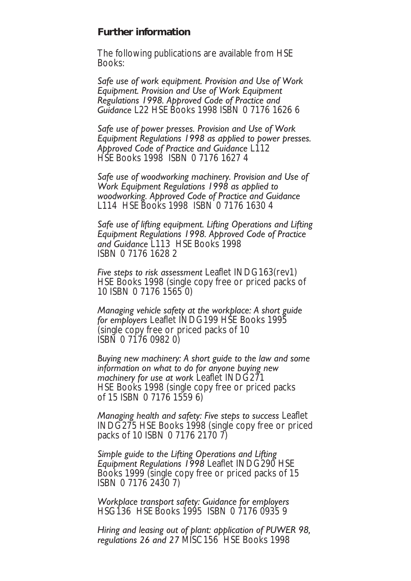#### **Further information**

The following publications are available from HSE Books:

*Safe use of work equipment. Provision and Use of Work Equipment. Provision and Use of Work Equipment Regulations 1998. Approved Code of Practice and Guidance* L22 HSE Books 1998 ISBN 0 7176 1626 6

*Safe use of power presses. Provision and Use of Work Equipment Regulations 1998 as applied to power presses. Approved Code of Practice and Guidance* L112 HSE Books 1998 ISBN 0 7176 1627 4

*Safe use of woodworking machinery. Provision and Use of Work Equipment Regulations 1998 as applied to woodworking. Approved Code of Practice and Guidance* L114 HSE Books 1998 ISBN 0 7176 1630 4

*Safe use of lifting equipment. Lifting Operations and Lifting Equipment Regulations 1998. Approved Code of Practice and Guidance* L113 HSE Books 1998 ISBN 0 7176 1628 2

*Five steps to risk assessment* Leaflet INDG163(rev1) HSE Books 1998 (single copy free or priced packs of 10 ISBN 0 7176 1565 0)

*Managing vehicle safety at the workplace: A short guide for employers* Leaflet INDG199 HSE Books 1995 (single copy free or priced packs of 10 ISBN 0 7176 0982 0)

*Buying new machinery: A short guide to the law and some information on what to do for anyone buying new machinery for use at work* Leaflet INDG271 HSE Books 1998 (single copy free or priced packs of 15 ISBN 0 7176 1559 6)

*Managing health and safety: Five steps to success* Leaflet INDG275 HSE Books 1998 (single copy free or priced packs of 10 ISBN 0 7176 2170 7)

*Simple guide to the Lifting Operations and Lifting Equipment Regulations 1998* Leaflet INDG290 HSE Books 1999 (single copy free or priced packs of 15 ISBN 0 7176 2430 7)

*Workplace transport safety: Guidance for employers* HSG136 HSE Books 1995 ISBN 0 7176 0935 9

*Hiring and leasing out of plant: application of PUWER 98, regulations 26 and 27* MISC156 HSE Books 1998